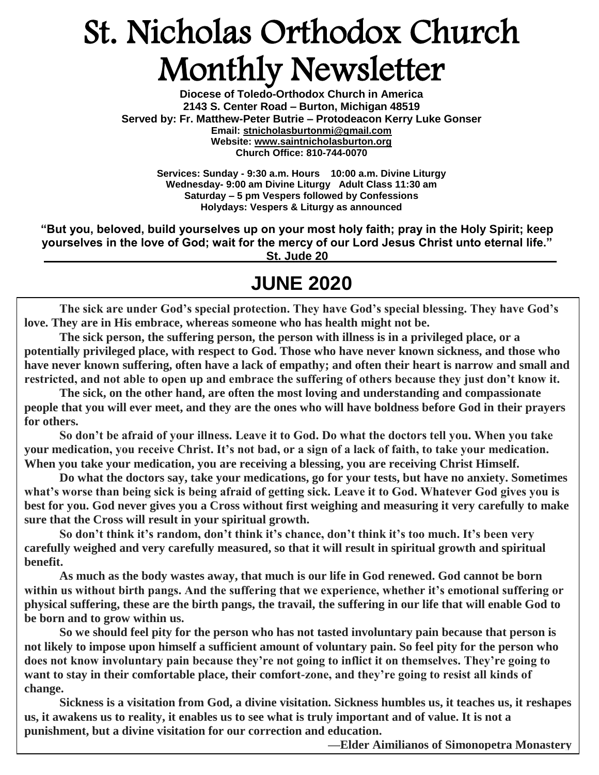# St. Nicholas Orthodox Church Monthly Newsletter

**Diocese of Toledo-Orthodox Church in America 2143 S. Center Road – Burton, Michigan 48519 Served by: Fr. Matthew-Peter Butrie – Protodeacon Kerry Luke Gonser Email: stnicholasburtonmi@gmail.com Website: [www.saintnicholasburton.org](http://www.saintnicholasburton.org/) Church Office: 810-744-0070** 

> **Services: Sunday - 9:30 a.m. Hours 10:00 a.m. Divine Liturgy Wednesday- 9:00 am Divine Liturgy Adult Class 11:30 am Saturday – 5 pm Vespers followed by Confessions Holydays: Vespers & Liturgy as announced**

**"But you, beloved, build yourselves up on your most holy faith; pray in the Holy Spirit; keep yourselves in the love of God; wait for the mercy of our Lord Jesus Christ unto eternal life." St. Jude 20**

## **JUNE 2020**

**The sick are under God's special protection. They have God's special blessing. They have God's love. They are in His embrace, whereas someone who has health might not be.**

**The sick person, the suffering person, the person with illness is in a privileged place, or a potentially privileged place, with respect to God. Those who have never known sickness, and those who have never known suffering, often have a lack of empathy; and often their heart is narrow and small and restricted, and not able to open up and embrace the suffering of others because they just don't know it.**

**The sick, on the other hand, are often the most loving and understanding and compassionate people that you will ever meet, and they are the ones who will have boldness before God in their prayers for others.**

**So don't be afraid of your illness. Leave it to God. Do what the doctors tell you. When you take your medication, you receive Christ. It's not bad, or a sign of a lack of faith, to take your medication. When you take your medication, you are receiving a blessing, you are receiving Christ Himself.**

**Do what the doctors say, take your medications, go for your tests, but have no anxiety. Sometimes what's worse than being sick is being afraid of getting sick. Leave it to God. Whatever God gives you is best for you. God never gives you a Cross without first weighing and measuring it very carefully to make sure that the Cross will result in your spiritual growth.**

**So don't think it's random, don't think it's chance, don't think it's too much. It's been very carefully weighed and very carefully measured, so that it will result in spiritual growth and spiritual benefit.**

**As much as the body wastes away, that much is our life in God renewed. God cannot be born within us without birth pangs. And the suffering that we experience, whether it's emotional suffering or physical suffering, these are the birth pangs, the travail, the suffering in our life that will enable God to be born and to grow within us.**

**So we should feel pity for the person who has not tasted involuntary pain because that person is not likely to impose upon himself a sufficient amount of voluntary pain. So feel pity for the person who does not know involuntary pain because they're not going to inflict it on themselves. They're going to want to stay in their comfortable place, their comfort-zone, and they're going to resist all kinds of change.**

**Sickness is a visitation from God, a divine visitation. Sickness humbles us, it teaches us, it reshapes us, it awakens us to reality, it enables us to see what is truly important and of value. It is not a punishment, but a divine visitation for our correction and education.**

**—Elder Aimilianos of Simonopetra Monastery**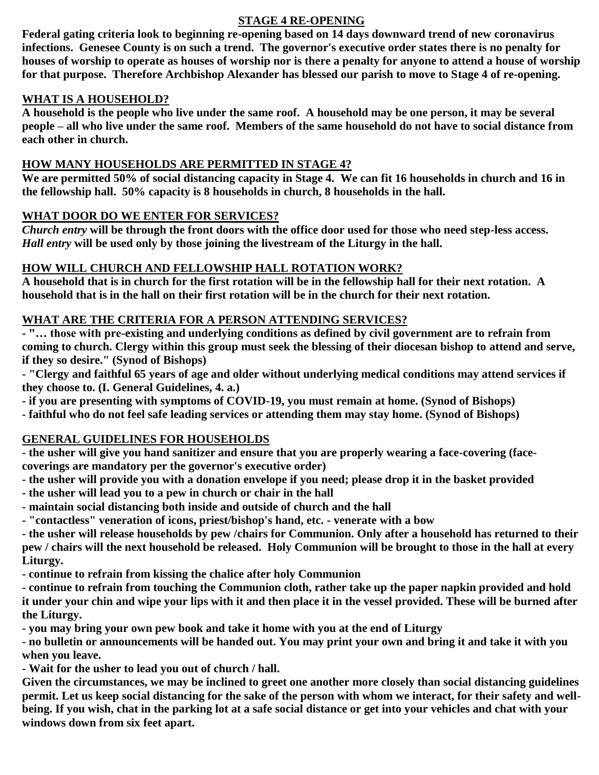#### **STAGE 4 RE-OPENING**

**Federal gating criteria look to beginning re-opening based on 14 days downward trend of new coronavirus infections. Genesee County is on such a trend. The governor's executive order states there is no penalty for houses of worship to operate as houses of worship nor is there a penalty for anyone to attend a house of worship for that purpose. Therefore Archbishop Alexander has blessed our parish to move to Stage 4 of re-opening.**

#### **WHAT IS A HOUSEHOLD?**

**A household is the people who live under the same roof. A household may be one person, it may be several people – all who live under the same roof. Members of the same household do not have to social distance from each other in church.**

#### **HOW MANY HOUSEHOLDS ARE PERMITTED IN STAGE 4?**

**We are permitted 50% of social distancing capacity in Stage 4. We can fit 16 households in church and 16 in the fellowship hall. 50% capacity is 8 households in church, 8 households in the hall.**

#### **WHAT DOOR DO WE ENTER FOR SERVICES?**

*Church entry* **will be through the front doors with the office door used for those who need step-less access.** *Hall entry* **will be used only by those joining the livestream of the Liturgy in the hall.**

#### **HOW WILL CHURCH AND FELLOWSHIP HALL ROTATION WORK?**

**A household that is in church for the first rotation will be in the fellowship hall for their next rotation. A household that is in the hall on their first rotation will be in the church for their next rotation.**

#### **WHAT ARE THE CRITERIA FOR A PERSON ATTENDING SERVICES?**

**- "… those with pre-existing and underlying conditions as defined by civil government are to refrain from coming to church. Clergy within this group must seek the blessing of their diocesan bishop to attend and serve, if they so desire." (Synod of Bishops)**

**- "Clergy and faithful 65 years of age and older without underlying medical conditions may attend services if they choose to. (I. General Guidelines, 4. a.)**

- **- if you are presenting with symptoms of COVID-19, you must remain at home. (Synod of Bishops)**
- **- faithful who do not feel safe leading services or attending them may stay home. (Synod of Bishops)**

#### **GENERAL GUIDELINES FOR HOUSEHOLDS**

**- the usher will give you hand sanitizer and ensure that you are properly wearing a face-covering (facecoverings are mandatory per the governor's executive order)**

- **- the usher will provide you with a donation envelope if you need; please drop it in the basket provided**
- **- the usher will lead you to a pew in church or chair in the hall**
- **- maintain social distancing both inside and outside of church and the hall**
- **- "contactless" veneration of icons, priest/bishop's hand, etc. - venerate with a bow**

**- the usher will release households by pew /chairs for Communion. Only after a household has returned to their pew / chairs will the next household be released. Holy Communion will be brought to those in the hall at every Liturgy.**

**- continue to refrain from kissing the chalice after holy Communion**

**- continue to refrain from touching the Communion cloth, rather take up the paper napkin provided and hold it under your chin and wipe your lips with it and then place it in the vessel provided. These will be burned after the Liturgy.**

**- you may bring your own pew book and take it home with you at the end of Liturgy**

**- no bulletin or announcements will be handed out. You may print your own and bring it and take it with you when you leave.**

**- Wait for the usher to lead you out of church / hall.**

**Given the circumstances, we may be inclined to greet one another more closely than social distancing guidelines permit. Let us keep social distancing for the sake of the person with whom we interact, for their safety and wellbeing. If you wish, chat in the parking lot at a safe social distance or get into your vehicles and chat with your windows down from six feet apart.**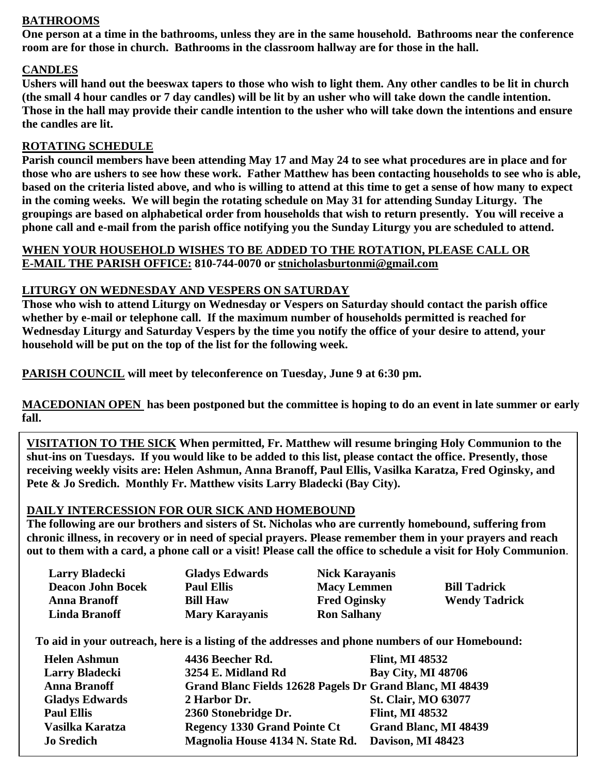#### **BATHROOMS**

**One person at a time in the bathrooms, unless they are in the same household. Bathrooms near the conference room are for those in church. Bathrooms in the classroom hallway are for those in the hall.**

#### **CANDLES**

**Ushers will hand out the beeswax tapers to those who wish to light them. Any other candles to be lit in church (the small 4 hour candles or 7 day candles) will be lit by an usher who will take down the candle intention. Those in the hall may provide their candle intention to the usher who will take down the intentions and ensure the candles are lit.**

#### **ROTATING SCHEDULE**

**Parish council members have been attending May 17 and May 24 to see what procedures are in place and for those who are ushers to see how these work. Father Matthew has been contacting households to see who is able, based on the criteria listed above, and who is willing to attend at this time to get a sense of how many to expect in the coming weeks. We will begin the rotating schedule on May 31 for attending Sunday Liturgy. The groupings are based on alphabetical order from households that wish to return presently. You will receive a phone call and e-mail from the parish office notifying you the Sunday Liturgy you are scheduled to attend.** 

#### **WHEN YOUR HOUSEHOLD WISHES TO BE ADDED TO THE ROTATION, PLEASE CALL OR E-MAIL THE PARISH OFFICE: 810-744-0070 or [stnicholasburtonmi@gmail.com](mailto:stnicholasburtonmi@gmail.com)**

#### **LITURGY ON WEDNESDAY AND VESPERS ON SATURDAY**

**Those who wish to attend Liturgy on Wednesday or Vespers on Saturday should contact the parish office whether by e-mail or telephone call. If the maximum number of households permitted is reached for Wednesday Liturgy and Saturday Vespers by the time you notify the office of your desire to attend, your household will be put on the top of the list for the following week.**

**PARISH COUNCIL will meet by teleconference on Tuesday, June 9 at 6:30 pm.**

**MACEDONIAN OPEN has been postponed but the committee is hoping to do an event in late summer or early fall.** 

**VISITATION TO THE SICK When permitted, Fr. Matthew will resume bringing Holy Communion to the shut-ins on Tuesdays. If you would like to be added to this list, please contact the office. Presently, those receiving weekly visits are: Helen Ashmun, Anna Branoff, Paul Ellis, Vasilka Karatza, Fred Oginsky, and Pete & Jo Sredich. Monthly Fr. Matthew visits Larry Bladecki (Bay City).**

#### **DAILY INTERCESSION FOR OUR SICK AND HOMEBOUND**

**The following are our brothers and sisters of St. Nicholas who are currently homebound, suffering from chronic illness, in recovery or in need of special prayers. Please remember them in your prayers and reach out to them with a card, a phone call or a visit! Please call the office to schedule a visit for Holy Communion**.

| Larry Bladecki           | <b>Gladys Edwards</b> | <b>Nick Karayanis</b> |                      |
|--------------------------|-----------------------|-----------------------|----------------------|
| <b>Deacon John Bocek</b> | <b>Paul Ellis</b>     | <b>Macy Lemmen</b>    | <b>Bill Tadrick</b>  |
| <b>Anna Branoff</b>      | <b>Bill Haw</b>       | <b>Fred Oginsky</b>   | <b>Wendy Tadrick</b> |
| <b>Linda Branoff</b>     | <b>Mary Karayanis</b> | <b>Ron Salhany</b>    |                      |

**To aid in your outreach, here is a listing of the addresses and phone numbers of our Homebound:**

| <b>Helen Ashmun</b>   | 4436 Beecher Rd.                                         | <b>Flint, MI 48532</b>       |
|-----------------------|----------------------------------------------------------|------------------------------|
| <b>Larry Bladecki</b> | 3254 E. Midland Rd                                       | <b>Bay City, MI 48706</b>    |
| <b>Anna Branoff</b>   | Grand Blanc Fields 12628 Pagels Dr Grand Blanc, MI 48439 |                              |
| <b>Gladys Edwards</b> | 2 Harbor Dr.                                             | <b>St. Clair, MO 63077</b>   |
| <b>Paul Ellis</b>     | 2360 Stonebridge Dr.                                     | <b>Flint, MI 48532</b>       |
| Vasilka Karatza       | <b>Regency 1330 Grand Pointe Ct</b>                      | <b>Grand Blanc, MI 48439</b> |
| <b>Jo Sredich</b>     | Magnolia House 4134 N. State Rd.                         | Davison, MI 48423            |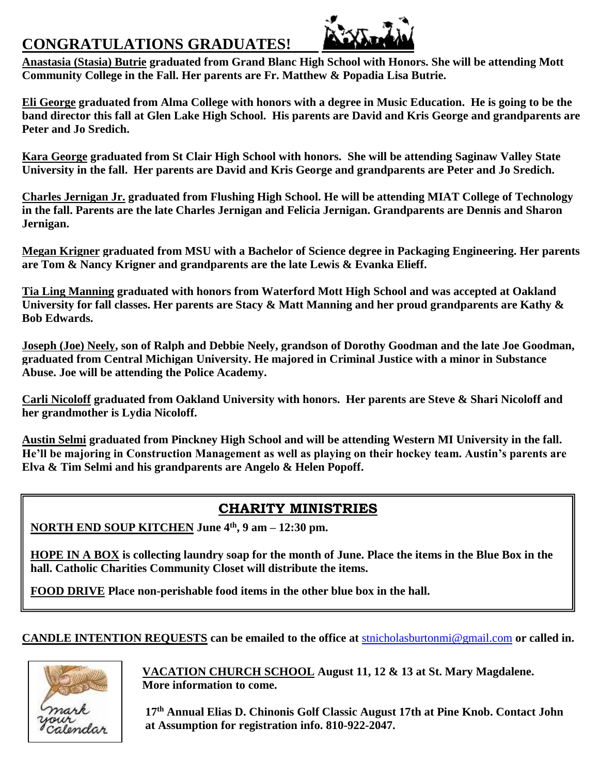## **CONGRATULATIONS GRADUATES!**



**Anastasia (Stasia) Butrie graduated from Grand Blanc High School with Honors. She will be attending Mott Community College in the Fall. Her parents are Fr. Matthew & Popadia Lisa Butrie.**

**Eli George graduated from Alma College with honors with a degree in Music Education. He is going to be the band director this fall at Glen Lake High School. His parents are David and Kris George and grandparents are Peter and Jo Sredich.**

**Kara George graduated from St Clair High School with honors. She will be attending Saginaw Valley State University in the fall. Her parents are David and Kris George and grandparents are Peter and Jo Sredich.**

**Charles Jernigan Jr. graduated from Flushing High School. He will be attending MIAT College of Technology in the fall. Parents are the late Charles Jernigan and Felicia Jernigan. Grandparents are Dennis and Sharon Jernigan.**

**Megan Krigner graduated from MSU with a Bachelor of Science degree in Packaging Engineering. Her parents are Tom & Nancy Krigner and grandparents are the late Lewis & Evanka Elieff.**

**Tia Ling Manning graduated with honors from Waterford Mott High School and was accepted at Oakland University for fall classes. Her parents are Stacy & Matt Manning and her proud grandparents are Kathy & Bob Edwards.**

**Joseph (Joe) Neely, son of Ralph and Debbie Neely, grandson of Dorothy Goodman and the late Joe Goodman, graduated from Central Michigan University. He majored in Criminal Justice with a minor in Substance Abuse. Joe will be attending the Police Academy.**

**Carli Nicoloff graduated from Oakland University with honors. Her parents are Steve & Shari Nicoloff and her grandmother is Lydia Nicoloff.**

**Austin Selmi graduated from Pinckney High School and will be attending Western MI University in the fall. He'll be majoring in Construction Management as well as playing on their hockey team. Austin's parents are Elva & Tim Selmi and his grandparents are Angelo & Helen Popoff.**

### **CHARITY MINISTRIES**

**NORTH END SOUP KITCHEN June 4th, 9 am – 12:30 pm.**

**HOPE IN A BOX is collecting laundry soap for the month of June. Place the items in the Blue Box in the hall. Catholic Charities Community Closet will distribute the items.**

**FOOD DRIVE Place non-perishable food items in the other blue box in the hall.**

**CANDLE INTENTION REQUESTS can be emailed to the office at** [stnicholasburtonmi@gmail.com](mailto:stnicholasburtonmi@gmail.com) **or called in.**



 **VACATION CHURCH SCHOOL August 11, 12 & 13 at St. Mary Magdalene. More information to come.**

 **17th Annual Elias D. Chinonis Golf Classic August 17th at Pine Knob. Contact John at Assumption for registration info. 810-922-2047.**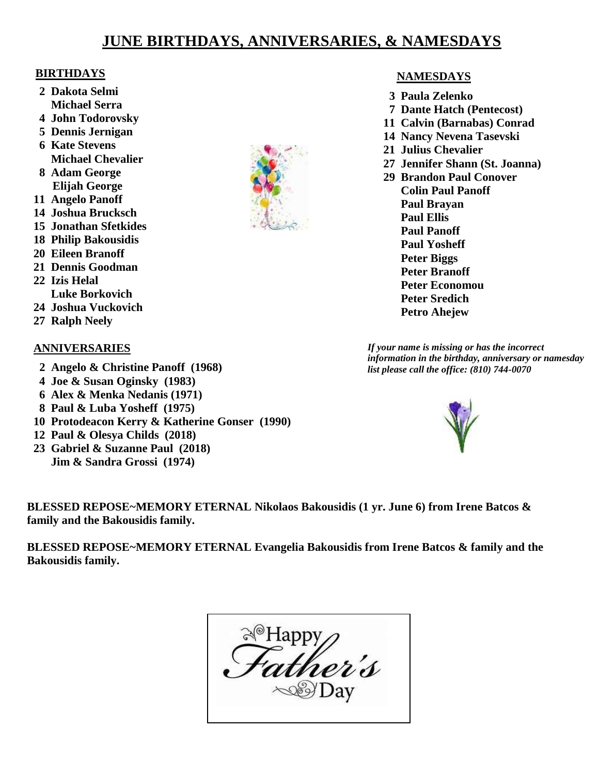### **JUNE BIRTHDAYS, ANNIVERSARIES, & NAMESDAYS**

- **2 Dakota Selmi Michael Serra**
- **4 John Todorovsky**
- **5 Dennis Jernigan**
- **6 Kate Stevens Michael Chevalier**
- **8 Adam George Elijah George**
- **11 Angelo Panoff**
- **14 Joshua Brucksch**
- **15 Jonathan Sfetkides**
- **18 Philip Bakousidis**
- **20 Eileen Branoff**
- **21 Dennis Goodman**
- **22 Izis Helal Luke Borkovich**
- **24 Joshua Vuckovich**
- **27 Ralph Neely**

#### **ANNIVERSARIES**

- **2 Angelo & Christine Panoff (1968)**
- **4 Joe & Susan Oginsky (1983)**
- **6 Alex & Menka Nedanis (1971)**
- **8 Paul & Luba Yosheff (1975)**
- **10 Protodeacon Kerry & Katherine Gonser (1990)**
- **12 Paul & Olesya Childs (2018)**
- **23 Gabriel & Suzanne Paul (2018) Jim & Sandra Grossi (1974)**

**BIRTHDAYS NAMESDAYS**

- **3 Paula Zelenko**
- **7 Dante Hatch (Pentecost)**
- **11 Calvin (Barnabas) Conrad**
- **14 Nancy Nevena Tasevski**
- **21 Julius Chevalier**
- **27 Jennifer Shann (St. Joanna)**
- **29 Brandon Paul Conover Colin Paul Panoff Paul Brayan Paul Ellis Paul Panoff Paul Yosheff Peter Biggs Peter Branoff Peter Economou Peter Sredich Petro Ahejew**

*If your name is missing or has the incorrect information in the birthday, anniversary or namesday list please call the office: (810) 744-0070*

**BLESSED REPOSE~MEMORY ETERNAL Nikolaos Bakousidis (1 yr. June 6) from Irene Batcos & family and the Bakousidis family.**

**BLESSED REPOSE~MEMORY ETERNAL Evangelia Bakousidis from Irene Batcos & family and the Bakousidis family.**

|  | Happy |                  |  |
|--|-------|------------------|--|
|  |       | ther's           |  |
|  |       | $\overline{Day}$ |  |